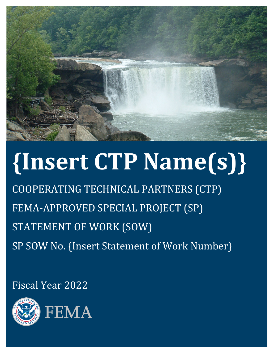

# **{Insert CTP Name(s)}**

COOPERATING TECHNICAL PARTNERS (CTP) FEMA-APPROVED SPECIAL PROJECT (SP) STATEMENT OF WORK (SOW) SP SOW No. {Insert Statement of Work Number}

Fiscal Year 2022

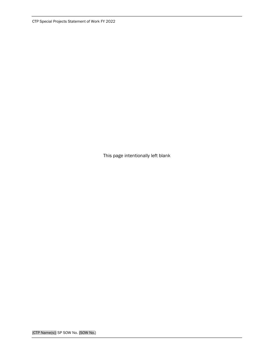This page intentionally left blank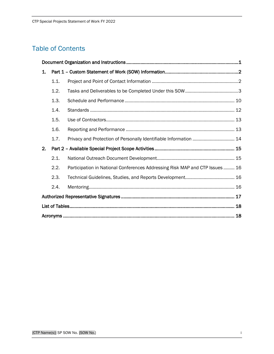# Table of Contents

| 1. |      |                                                                              |  |  |  |
|----|------|------------------------------------------------------------------------------|--|--|--|
|    | 1.1. |                                                                              |  |  |  |
|    | 1.2. |                                                                              |  |  |  |
|    | 1.3. |                                                                              |  |  |  |
|    | 1.4. |                                                                              |  |  |  |
|    | 1.5. |                                                                              |  |  |  |
|    | 1.6. |                                                                              |  |  |  |
|    | 1.7. | Privacy and Protection of Personally Identifiable Information  14            |  |  |  |
| 2. |      |                                                                              |  |  |  |
|    | 2.1. |                                                                              |  |  |  |
|    | 2.2. | Participation in National Conferences Addressing Risk MAP and CTP Issues  16 |  |  |  |
|    | 2.3. |                                                                              |  |  |  |
|    | 2.4. |                                                                              |  |  |  |
|    |      |                                                                              |  |  |  |
|    |      |                                                                              |  |  |  |
|    |      |                                                                              |  |  |  |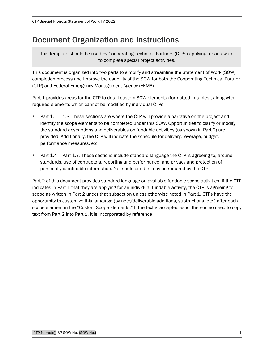# <span id="page-3-0"></span>Document Organization and Instructions

This template should be used by Cooperating Technical Partners (CTPs) applying for an award to complete special project activities.

This document is organized into two parts to simplify and streamline the Statement of Work (SOW) completion process and improve the usability of the SOW for both the Cooperating Technical Partner (CTP) and Federal Emergency Management Agency (FEMA).

Part 1 provides areas for the CTP to detail custom SOW elements (formatted in tables), along with required elements which cannot be modified by individual CTPs:

- Part 1.1 1.3. These sections are where the CTP will provide a narrative on the project and identify the scope elements to be completed under this SOW. Opportunities to clarify or modify the standard descriptions and deliverables on fundable activities (as shown in Part 2) are provided. Additionally, the CTP will indicate the schedule for delivery, leverage, budget, performance measures, etc.
- Part 1.4 Part 1.7. These sections include standard language the CTP is agreeing to, around standards, use of contractors, reporting and performance, and privacy and protection of personally identifiable information. No inputs or edits may be required by the CTP.

Part 2 of this document provides standard language on available fundable scope activities. If the CTP indicates in Part 1 that they are applying for an individual fundable activity, the CTP is agreeing to scope as written in Part 2 under that subsection unless otherwise noted in Part 1. CTPs have the opportunity to customize this language (by note/deliverable additions, subtractions, etc.) after each scope element in the "Custom Scope Elements." If the text is accepted as-is, there is no need to copy text from Part 2 into Part 1, it is incorporated by reference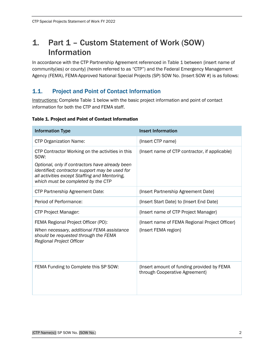# <span id="page-4-0"></span>1. Part 1 – Custom Statement of Work (SOW) Information

In accordance with the CTP Partnership Agreement referenced in [Table 1](#page-4-2) between {insert name of community(ies) or county} (herein referred to as "CTP") and the Federal Emergency Management Agency (FEMA), FEMA-Approved National Special Projects (SP) SOW No. {Insert SOW #} is as follows:

## <span id="page-4-1"></span>1.1. Project and Point of Contact Information

Instructions: Complete [Table 1](#page-4-2) below with the basic project information and point of contact information for both the CTP and FEMA staff.

<span id="page-4-2"></span>

|  |  |  |  | Table 1. Project and Point of Contact Information |
|--|--|--|--|---------------------------------------------------|
|--|--|--|--|---------------------------------------------------|

| <b>Information Type</b>                                                                                                                                                                  | <b>Insert Information</b>                                                    |
|------------------------------------------------------------------------------------------------------------------------------------------------------------------------------------------|------------------------------------------------------------------------------|
| <b>CTP Organization Name:</b>                                                                                                                                                            | {Insert CTP name}                                                            |
| CTP Contractor Working on the activities in this<br>SOW:                                                                                                                                 | {Insert name of CTP contractor, if applicable}                               |
| Optional, only if contractors have already been<br>identified; contractor support may be used for<br>all activities except Staffing and Mentoring,<br>which must be completed by the CTP |                                                                              |
| <b>CTP Partnership Agreement Date:</b>                                                                                                                                                   | {Insert Partnership Agreement Date}                                          |
| Period of Performance:                                                                                                                                                                   | {Insert Start Date} to {Insert End Date}                                     |
| <b>CTP Project Manager:</b>                                                                                                                                                              | {Insert name of CTP Project Manager}                                         |
| FEMA Regional Project Officer (PO):<br>When necessary, additional FEMA assistance<br>should be requested through the FEMA<br>Regional Project Officer                                    | {Insert name of FEMA Regional Project Officer}<br>{Insert FEMA region}       |
| FEMA Funding to Complete this SP SOW:                                                                                                                                                    | {Insert amount of funding provided by FEMA<br>through Cooperative Agreement} |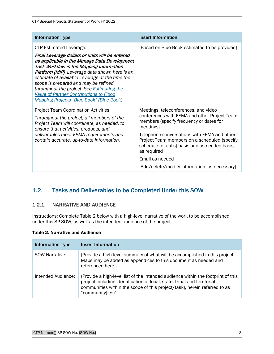| <b>Information Type</b>                                                                                                                                                                                                                                                                                                                                                                                                                                                                    | <b>Insert Information</b>                                                                                                                                                                                                                                                                                                                                                        |
|--------------------------------------------------------------------------------------------------------------------------------------------------------------------------------------------------------------------------------------------------------------------------------------------------------------------------------------------------------------------------------------------------------------------------------------------------------------------------------------------|----------------------------------------------------------------------------------------------------------------------------------------------------------------------------------------------------------------------------------------------------------------------------------------------------------------------------------------------------------------------------------|
| <b>CTP Estimated Leverage:</b><br>Final Leverage dollars or units will be entered<br>as applicable in the Manage Data Development<br>Task Workflow in the Mapping Information<br><b>Platform (MIP).</b> Leverage data shown here is an<br>estimate of available Leverage at the time the<br>scope is prepared and may be refined<br>throughout the project. See <b>Estimating the</b><br><b>Value of Partner Contributions to Flood</b><br><b>Mapping Projects "Blue Book" (Blue Book)</b> | {Based on Blue Book estimated to be provided}                                                                                                                                                                                                                                                                                                                                    |
| <b>Project Team Coordination Activities:</b><br>Throughout the project, all members of the<br>Project Team will coordinate, as needed, to<br>ensure that activities, products, and<br>deliverables meet FEMA requirements and<br>contain accurate, up-to-date information.                                                                                                                                                                                                                 | Meetings, teleconferences, and video<br>conferences with FEMA and other Project Team<br>members {specify frequency or dates for<br>meetings}<br>Telephone conversations with FEMA and other<br>Project Team members on a scheduled {specify<br>schedule for calls} basis and as needed basis,<br>as required<br>Email as needed<br>{Add/delete/modify information, as necessary} |

# <span id="page-5-0"></span>1.2. Tasks and Deliverables to be Completed Under this SOW

#### 1.2.1. NARRATIVE AND AUDIENCE

Instructions: Complete [Table 2](#page-5-1) below with a high-level narrative of the work to be accomplished under this SP SOW, as well as the intended audience of the project.

<span id="page-5-1"></span>

|  | <b>Table 2. Narrative and Audience</b> |  |  |
|--|----------------------------------------|--|--|
|--|----------------------------------------|--|--|

| <b>Information Type</b> | <b>Insert Information</b>                                                                                                                                                                                                                                     |
|-------------------------|---------------------------------------------------------------------------------------------------------------------------------------------------------------------------------------------------------------------------------------------------------------|
| <b>SOW Narrative:</b>   | {Provide a high-level summary of what will be accomplished in this project.<br>Maps may be added as appendices to this document as needed and<br>referenced here.}                                                                                            |
| Intended Audience:      | {Provide a high-level list of the intended audience within the footprint of this<br>project including identification of local, state, tribal and territorial<br>communities within the scope of this project/task}, herein referred to as<br>"community(ies)" |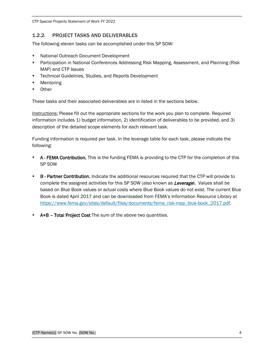### 1.2.2. PROJECT TASKS AND DELIVERABLES

The following eleven tasks can be accomplished under this SP SOW:

- **National Outreach Document Development**
- **Participation in National Conferences Addressing Risk Mapping, Assessment, and Planning (Risk** MAP) and CTP Issues
- **Technical Guidelines, Studies, and Reports Development**
- Mentoring
- **D**ther

These tasks and their associated deliverables are in listed in the sections below.

Instructions: Please fill out the appropriate sections for the work you plan to complete. Required information includes 1) budget information, 2) identification of deliverables to be provided, and 3) description of the detailed scope elements for each relevant task.

Funding information is required per task. In the leverage table for each task, please indicate the following:

- **A FEMA Contribution.** This is the funding FEMA is providing to the CTP for the completion of this SP SOW
- **B** Partner Contribution. Indicate the additional resources required that the CTP will provide to complete the assigned activities for this SP SOW (also known as *Leverage*). Values shall be based on Blue Book values or actual costs where Blue Book values do not exist. The current Blue Book is dated April 2017 and can be downloaded from FEMA's Information Resource Library at [https://www.fema.gov/sites/default/files/documents/fema\\_risk-map\\_blue-book\\_2017.pdf.](https://www.fema.gov/sites/default/files/documents/fema_risk-map_blue-book_2017.pdf)
- **A+B Total Project Cost** The sum of the above two quantities.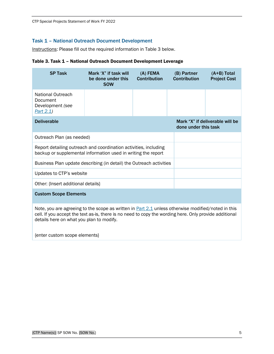### Task 1 – National Outreach Document Development

Instructions: Please fill out the required information in Table 3 below.

<span id="page-7-0"></span>

| <b>SP Task</b>                                                                                                                                                               | Mark 'X" if task will<br>be done under this<br><b>SOW</b> | $(A)$ FEMA<br><b>Contribution</b> | (B) Partner<br><b>Contribution</b> | $(A+B)$ Total<br><b>Project Cost</b> |  |  |
|------------------------------------------------------------------------------------------------------------------------------------------------------------------------------|-----------------------------------------------------------|-----------------------------------|------------------------------------|--------------------------------------|--|--|
| <b>National Outreach</b><br>Document<br>Development (see<br>Part 2.1)                                                                                                        |                                                           |                                   |                                    |                                      |  |  |
| <b>Deliverable</b>                                                                                                                                                           | done under this task                                      | Mark "X" if deliverable will be   |                                    |                                      |  |  |
| Outreach Plan (as needed)                                                                                                                                                    |                                                           |                                   |                                    |                                      |  |  |
| Report detailing outreach and coordination activities, including<br>backup or supplemental information used in writing the report                                            |                                                           |                                   |                                    |                                      |  |  |
| Business Plan update describing (in detail) the Outreach activities                                                                                                          |                                                           |                                   |                                    |                                      |  |  |
| Updates to CTP's website                                                                                                                                                     |                                                           |                                   |                                    |                                      |  |  |
| Other: {Insert additional details}                                                                                                                                           |                                                           |                                   |                                    |                                      |  |  |
| <b>Custom Scope Elements</b>                                                                                                                                                 |                                                           |                                   |                                    |                                      |  |  |
| the continuum of the Platform of the complete and continuum and the continuum of the continuum of the continuu<br>$N + 1 = 1$<br>المتحالف المتقارف المتعارف المتحدث المتناول |                                                           |                                   |                                    |                                      |  |  |

Note, you are agreeing to the scope as written in **Part 2.1** unless otherwise modified/noted in this cell. If you accept the text as-is, there is no need to copy the wording here. Only provide additional details here on what you plan to modify.

{enter custom scope elements}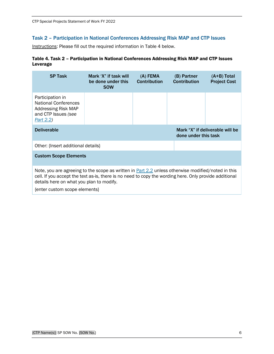#### Task 2 – Participation in National Conferences Addressing Risk MAP and CTP Issues

Instructions: Please fill out the required information in [Table 4](#page-8-0) below.

#### <span id="page-8-0"></span>Table 4. Task 2 – Participation in National Conferences Addressing Risk MAP and CTP Issues Leverage

| <b>SP Task</b>                                                                                                                                                                                                                                                                                   | Mark 'X" if task will<br>be done under this<br><b>SOW</b> | $(A)$ FEMA<br><b>Contribution</b> | (B) Partner<br><b>Contribution</b> | $(A+B)$ Total<br><b>Project Cost</b> |  |  |
|--------------------------------------------------------------------------------------------------------------------------------------------------------------------------------------------------------------------------------------------------------------------------------------------------|-----------------------------------------------------------|-----------------------------------|------------------------------------|--------------------------------------|--|--|
| Participation in<br><b>National Conferences</b><br><b>Addressing Risk MAP</b><br>and CTP Issues (see<br>Part 2.2)                                                                                                                                                                                |                                                           |                                   |                                    |                                      |  |  |
| <b>Deliverable</b>                                                                                                                                                                                                                                                                               | Mark "X" if deliverable will be<br>done under this task   |                                   |                                    |                                      |  |  |
| Other: {Insert additional details}                                                                                                                                                                                                                                                               |                                                           |                                   |                                    |                                      |  |  |
|                                                                                                                                                                                                                                                                                                  | <b>Custom Scope Elements</b>                              |                                   |                                    |                                      |  |  |
| Note, you are agreeing to the scope as written in <b>Part 2.2</b> unless otherwise modified/noted in this<br>cell. If you accept the text as-is, there is no need to copy the wording here. Only provide additional<br>details here on what you plan to modify.<br>{enter custom scope elements} |                                                           |                                   |                                    |                                      |  |  |
|                                                                                                                                                                                                                                                                                                  |                                                           |                                   |                                    |                                      |  |  |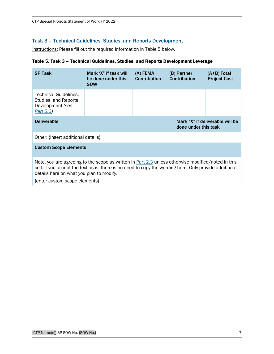#### Task 3 – Technical Guidelines, Studies, and Reports Development

Instructions: Please fill out the required information in [Table 5](#page-9-0) below.

<span id="page-9-0"></span>Table 5. Task 3 – Technical Guidelines, Studies, and Reports Development Leverage

| <b>SP Task</b>                                                                                                                                                                                                                                                                                   | Mark 'X" if task will<br>be done under this<br><b>SOW</b> | $(A)$ FEMA<br><b>Contribution</b> | (B) Partner<br><b>Contribution</b> | $(A+B)$ Total<br><b>Project Cost</b> |  |
|--------------------------------------------------------------------------------------------------------------------------------------------------------------------------------------------------------------------------------------------------------------------------------------------------|-----------------------------------------------------------|-----------------------------------|------------------------------------|--------------------------------------|--|
| Technical Guidelines,<br>Studies, and Reports<br>Development (see<br>Part 2.3)                                                                                                                                                                                                                   |                                                           |                                   |                                    |                                      |  |
| <b>Deliverable</b>                                                                                                                                                                                                                                                                               |                                                           |                                   | done under this task               | Mark "X" if deliverable will be      |  |
| Other: {Insert additional details}                                                                                                                                                                                                                                                               |                                                           |                                   |                                    |                                      |  |
| <b>Custom Scope Elements</b>                                                                                                                                                                                                                                                                     |                                                           |                                   |                                    |                                      |  |
| Note, you are agreeing to the scope as written in <b>Part 2.3</b> unless otherwise modified/noted in this<br>cell. If you accept the text as-is, there is no need to copy the wording here. Only provide additional<br>details here on what you plan to modify.<br>{enter custom scope elements} |                                                           |                                   |                                    |                                      |  |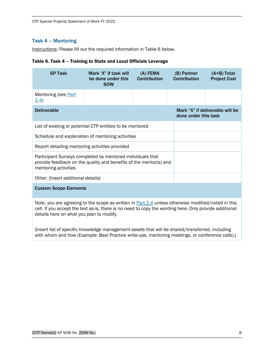### Task 4 – Mentoring

Instructions: Please fill out the required information in [Table 6](#page-10-0) below.

<span id="page-10-0"></span>

| Table 6. Task 4 - Training to State and Local Officials Leverage |  |  |  |  |  |  |
|------------------------------------------------------------------|--|--|--|--|--|--|
|------------------------------------------------------------------|--|--|--|--|--|--|

| <b>SP Task</b>                                                                                                                                          | Mark 'X" if task will<br>be done under this<br><b>SOW</b> | $(A)$ FEMA<br><b>Contribution</b> | (B) Partner<br><b>Contribution</b> | $(A+B)$ Total<br><b>Project Cost</b> |  |  |
|---------------------------------------------------------------------------------------------------------------------------------------------------------|-----------------------------------------------------------|-----------------------------------|------------------------------------|--------------------------------------|--|--|
| Mentoring (see Part<br><u>2.4)</u>                                                                                                                      |                                                           |                                   |                                    |                                      |  |  |
| <b>Deliverable</b>                                                                                                                                      | done under this task                                      | Mark "X" if deliverable will be   |                                    |                                      |  |  |
| List of existing or potential CTP entities to be mentored                                                                                               |                                                           |                                   |                                    |                                      |  |  |
| Schedule and explanation of mentoring activities                                                                                                        |                                                           |                                   |                                    |                                      |  |  |
| Report detailing mentoring activities provided                                                                                                          |                                                           |                                   |                                    |                                      |  |  |
| Participant Surveys completed by mentored individuals that<br>provide feedback on the quality and benefits of the mentor(s) and<br>mentoring activities |                                                           |                                   |                                    |                                      |  |  |
| Other: {Insert additional details}                                                                                                                      |                                                           |                                   |                                    |                                      |  |  |
| <b>Custom Scope Elements</b>                                                                                                                            |                                                           |                                   |                                    |                                      |  |  |

Note, you are agreeing to the scope as written in **Part 2.4** unless otherwise modified/noted in this cell. If you accept the text as-is, there is no need to copy the wording here. Only provide additional details here on what you plan to modify.

{Insert list of specific knowledge management assets that will be shared/transferred, including with whom and how (Example: Best Practice write-ups, mentoring meetings, or conference calls).}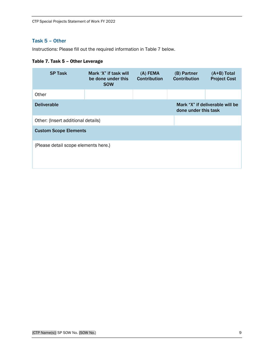#### Task 5 – Other

Instructions: Please fill out the required information in [Table 7](#page-11-0) below.

<span id="page-11-0"></span>Table 7. Task 5 – Other Leverage

| <b>SP Task</b>                       | Mark 'X" if task will<br>be done under this<br><b>SOW</b> | $(A)$ FEMA<br><b>Contribution</b> | (B) Partner<br><b>Contribution</b> | $(A+B)$ Total<br><b>Project Cost</b> |
|--------------------------------------|-----------------------------------------------------------|-----------------------------------|------------------------------------|--------------------------------------|
| <b>Other</b>                         |                                                           |                                   |                                    |                                      |
| <b>Deliverable</b>                   |                                                           |                                   | done under this task               | Mark "X" if deliverable will be      |
| Other: {Insert additional details}   |                                                           |                                   |                                    |                                      |
| <b>Custom Scope Elements</b>         |                                                           |                                   |                                    |                                      |
| {Please detail scope elements here.} |                                                           |                                   |                                    |                                      |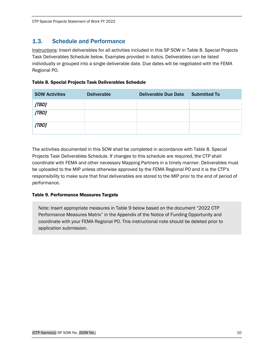## <span id="page-12-0"></span>1.3. Schedule and Performance

Instructions: Insert deliverables for all activities included in this SP SOW in [Table 8. Special Projects](#page-12-1)  [Task Deliverables Schedule](#page-12-1) below. Examples provided in italics. Deliverables can be listed individually or grouped into a single deliverable date. Due dates will be negotiated with the FEMA Regional PO.

#### <span id="page-12-1"></span>Table 8. Special Projects Task Deliverables Schedule

| <b>SOW Activities</b> | <b>Deliverable</b> | <b>Deliverable Due Date</b> | <b>Submitted To</b> |
|-----------------------|--------------------|-----------------------------|---------------------|
| [TBD]                 |                    |                             |                     |
| [TBD]                 |                    |                             |                     |
| [TBD]                 |                    |                             |                     |

The activities documented in this SOW shall be completed in accordance with [Table 8.](#page-12-1) Special Projects Task Deliverables Schedule. If changes to this schedule are required, the CTP shall coordinate with FEMA and other necessary Mapping Partners in a timely manner. Deliverables must be uploaded to the MIP unless otherwise approved by the FEMA Regional PO and it is the CTP's responsibility to make sure that final deliverables are stored to the MIP prior to the end of period of performance.

#### <span id="page-12-2"></span>Table 9. Performance Measures Targets

Note: Insert appropriate measures in [Table 9](#page-12-2) below based on the document "2022 CTP Performance Measures Matrix" in the Appendix of the Notice of Funding Opportunity and coordinate with your FEMA Regional PO. This instructional note should be deleted prior to application submission.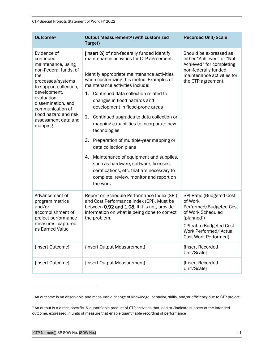| Outcome <sup>1</sup>                                                                                                                                                                                                                                               | Output Measurement <sup>2</sup> (with customized<br>Target)                                                                                                                                                                                                                                                                                                                                                                                                                                                                                                                                                                                                                                                                 | <b>Recorded Unit/Scale</b>                                                                                                                                                      |
|--------------------------------------------------------------------------------------------------------------------------------------------------------------------------------------------------------------------------------------------------------------------|-----------------------------------------------------------------------------------------------------------------------------------------------------------------------------------------------------------------------------------------------------------------------------------------------------------------------------------------------------------------------------------------------------------------------------------------------------------------------------------------------------------------------------------------------------------------------------------------------------------------------------------------------------------------------------------------------------------------------------|---------------------------------------------------------------------------------------------------------------------------------------------------------------------------------|
| Evidence of<br>continued<br>maintenance, using<br>non-Federal funds, of<br>the<br>processes/systems<br>to support collection,<br>development,<br>evaluation,<br>dissemination, and<br>communication of<br>flood hazard and risk<br>assessment data and<br>mapping. | [insert %] of non-federally funded identify<br>maintenance activities for CTP agreement.<br>Identify appropriate maintenance activities<br>when customizing this metric. Examples of<br>maintenance activities include:<br>Continued data collection related to<br>1.<br>changes in flood hazards and<br>development in flood-prone areas<br>2. Continued upgrades to data collection or<br>mapping capabilities to incorporate new<br>technologies<br>3.<br>Preparation of multiple-year mapping or<br>data collection plans<br>Maintenance of equipment and supplies,<br>4.<br>such as hardware, software, licenses,<br>certifications, etc. that are necessary to<br>complete, review, monitor and report on<br>the work | Should be expressed as<br>either "Achieved" or "Not<br>Achieved" for completing<br>non-federally funded<br>maintenance activities for<br>the CTP agreement.                     |
| Advancement of<br>program metrics<br>and/or<br>accomplishment of<br>project performance<br>measures, captured<br>as Earned Value                                                                                                                                   | Report on Schedule Performance Index (SPI)<br>and Cost Performance Index (CPI). Must be<br>between 0.92 and 1.08. If it is not, provide<br>information on what is being done to correct<br>the problem.                                                                                                                                                                                                                                                                                                                                                                                                                                                                                                                     | SPI Ratio (Budgeted Cost<br>of Work<br>Performed/Budgeted Cost<br>of Work Scheduled<br>[planned])<br>CPI ratio (Budgeted Cost<br>Work Performed/ Actual<br>Cost Work Performed) |
| {Insert Outcome}                                                                                                                                                                                                                                                   | {Insert Output Measurement}                                                                                                                                                                                                                                                                                                                                                                                                                                                                                                                                                                                                                                                                                                 | {Insert Recorded<br>Unit/Scale}                                                                                                                                                 |
| {Insert Outcome}                                                                                                                                                                                                                                                   | {Insert Output Measurement}                                                                                                                                                                                                                                                                                                                                                                                                                                                                                                                                                                                                                                                                                                 | {Insert Recorded<br>Unit/Scale}                                                                                                                                                 |

<span id="page-13-0"></span><sup>1</sup> An outcome is an observable and measurable change of knowledge, behavior, skills, and/or efficiency due to CTP project.

<span id="page-13-1"></span><sup>2</sup> An output is a direct, specific, & quantifiable product of CTP activities that lead to /indicate success of the intended outcome, expressed in units of measure that enable quantifiable recording of performance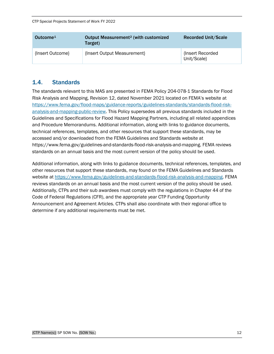| Outcome <sup>1</sup> | Output Measurement <sup>2</sup> (with customized<br>Target) | <b>Recorded Unit/Scale</b>      |
|----------------------|-------------------------------------------------------------|---------------------------------|
| {Insert Outcome}     | {Insert Output Measurement}                                 | {Insert Recorded<br>Unit/Scale} |

## <span id="page-14-0"></span>1.4. Standards

The standards relevant to this MAS are presented in FEMA Policy 204-078-1 Standards for Flood Risk Analysis and Mapping, Revision 12, dated November 2021 located on FEMA's website at [https://www.fema.gov/flood-maps/guidance-reports/guidelines-standards/standards-flood-risk](https://www.fema.gov/flood-maps/guidance-reports/guidelines-standards/standards-flood-risk-analysis-and-mapping-public-review)[analysis-and-mapping-public-review.](https://www.fema.gov/flood-maps/guidance-reports/guidelines-standards/standards-flood-risk-analysis-and-mapping-public-review) This Policy supersedes all previous standards included in the Guidelines and Specifications for Flood Hazard Mapping Partners, including all related appendices and Procedure Memorandums. Additional information, along with links to guidance documents, technical references, templates, and other resources that support these standards, may be accessed and/or downloaded from the FEMA Guidelines and Standards website at https://www.fema.gov/guidelines-and-standards-flood-risk-analysis-and-mapping. FEMA reviews standards on an annual basis and the most current version of the policy should be used.

Additional information, along with links to guidance documents, technical references, templates, and other resources that support these standards, may found on the FEMA Guidelines and Standards website at [https://www.fema.gov/guidelines-and-standards-flood-risk-analysis-and-mapping.](https://www.fema.gov/guidelines-and-standards-flood-risk-analysis-and-mapping) FEMA reviews standards on an annual basis and the most current version of the policy should be used. Additionally, CTPs and their sub awardees must comply with the regulations in Chapter 44 of the Code of Federal Regulations (CFR), and the appropriate year CTP Funding Opportunity Announcement and Agreement Articles. CTPs shall also coordinate with their regional office to determine if any additional requirements must be met.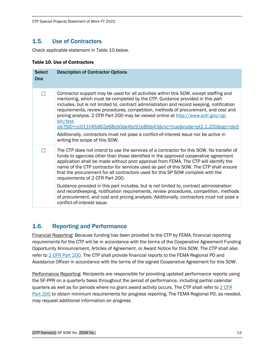## <span id="page-15-0"></span>1.5. Use of Contractors

Check applicable statement in [Table 10](#page-15-2) below.

#### <span id="page-15-2"></span>Table 10. Use of Contractors

| <b>Select</b><br>One | <b>Description of Contractor Options</b>                                                                                                                                                                                                                                                                                                                                                                                                                                                                                                                                                                                                                                                                                                                                 |
|----------------------|--------------------------------------------------------------------------------------------------------------------------------------------------------------------------------------------------------------------------------------------------------------------------------------------------------------------------------------------------------------------------------------------------------------------------------------------------------------------------------------------------------------------------------------------------------------------------------------------------------------------------------------------------------------------------------------------------------------------------------------------------------------------------|
|                      | Contractor support may be used for all activities within this SOW, except staffing and<br>mentoring, which must be completed by the CTP. Guidance provided in this part<br>includes, but is not limited to, contract administration and record keeping, notification<br>requirements, review procedures, competition, methods of procurement, and cost and<br>pricing analysis. 2 CFR Part 200 may be viewed online at http://www.ecfr.gov/cgi-<br>bin/text-<br>idx?SID=cc011f4fb962e68cb0da4bc91e8fbb43&mc=true&node=pt2.1.200&rgn=div5<br>Additionally, contractors must not pose a conflict-of-interest issue nor be active in<br>writing the scope of this SOW.                                                                                                      |
|                      | The CTP does not intend to use the services of a contractor for this SOW. No transfer of<br>funds to agencies other than those identified in the approved cooperative agreement<br>application shall be made without prior approval from FEMA. The CTP will identify the<br>name of the CTP contractor for services used as part of this SOW. The CTP shall ensure<br>that the procurement for all contractors used for this SP SOW complies with the<br>requirements of 2 CFR Part 200.<br>Guidance provided in this part includes, but is not limited to, contract administration<br>and recordkeeping, notification requirements, review procedures, competition, methods<br>of procurement, and cost and pricing analysis. Additionally, contractors must not pose a |

## <span id="page-15-1"></span>1.6. Reporting and Performance

Financial Reporting: Because funding has been provided to the CTP by FEMA, financial reporting requirements for the CTP will be in accordance with the terms of the Cooperative Agreement Funding Opportunity Announcement, Articles of Agreement, or Award Notice for this SOW. The CTP shall also refer to  $2$  CFR Part 200. The CTP shall provide financial reports to the FEMA Regional PO and Assistance Officer in accordance with the terms of the signed Cooperative Agreement for this SOW.

Performance Reporting: Recipients are responsible for providing updated performance reports using the SF-PPR on a quarterly basis throughout the period of performance, including partial calendar quarters as well as for periods where no grant award activity occurs. The CTP shall refer to 2 CFR [Part 200](http://www.ecfr.gov/cgi-bin/text-idx?SID=cc011f4fb962e68cb0da4bc91e8fbb43&mc=true&node=pt2.1.200&rgn=div5) to obtain minimum requirements for progress reporting. The FEMA Regional PO, as needed, may request additional information on progress.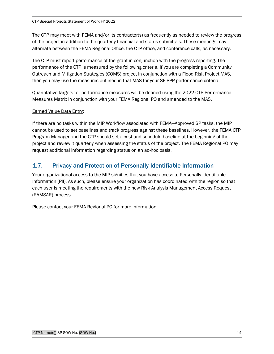The CTP may meet with FEMA and/or its contractor(s) as frequently as needed to review the progress of the project in addition to the quarterly financial and status submittals. These meetings may alternate between the FEMA Regional Office, the CTP office, and conference calls, as necessary.

The CTP must report performance of the grant in conjunction with the progress reporting. The performance of the CTP is measured by the following criteria. If you are completing a Community Outreach and Mitigation Strategies (COMS) project in conjunction with a Flood Risk Project MAS, then you may use the measures outlined in that MAS for your SF-PPP performance criteria.

Quantitative targets for performance measures will be defined using the 2022 CTP Performance Measures Matrix in conjunction with your FEMA Regional PO and amended to the MAS.

#### Earned Value Data Entry:

If there are no tasks within the MIP Workflow associated with FEMA—Approved SP tasks, the MIP cannot be used to set baselines and track progress against these baselines. However, the FEMA CTP Program Manager and the CTP should set a cost and schedule baseline at the beginning of the project and review it quarterly when assessing the status of the project. The FEMA Regional PO may request additional information regarding status on an ad-hoc basis.

# <span id="page-16-0"></span>1.7. Privacy and Protection of Personally Identifiable Information

Your organizational access to the MIP signifies that you have access to Personally Identifiable Information (PII). As such, please ensure your organization has coordinated with the region so that each user is meeting the requirements with the new Risk Analysis Management Access Request (RAMSAR) process.

Please contact your FEMA Regional PO for more information.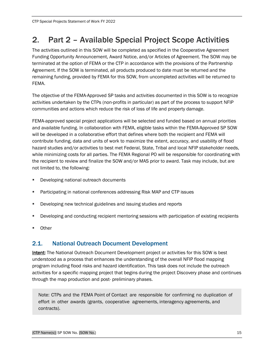# <span id="page-17-0"></span>2. Part 2 – Available Special Project Scope Activities

The activities outlined in this SOW will be completed as specified in the Cooperative Agreement Funding Opportunity Announcement, Award Notice, and/or Articles of Agreement. The SOW may be terminated at the option of FEMA or the CTP in accordance with the provisions of the Partnership Agreement. If the SOW is terminated, all products produced to date must be returned and the remaining funding, provided by FEMA for this SOW, from uncompleted activities will be returned to FEMA.

The objective of the FEMA-Approved SP tasks and activities documented in this SOW is to recognize activities undertaken by the CTPs (non-profits in particular) as part of the process to support NFIP communities and actions which reduce the risk of loss of life and property damage.

FEMA-approved special project applications will be selected and funded based on annual priorities and available funding. In collaboration with FEMA, eligible tasks within the FEMA-Approved SP SOW will be developed in a collaborative effort that defines where both the recipient and FEMA will contribute funding, data and units of work to maximize the extent, accuracy, and usability of flood hazard studies and/or activities to best met Federal, State, Tribal and local NFIP stakeholder needs, while minimizing costs for all parties. The FEMA Regional PO will be responsible for coordinating with the recipient to review and finalize the SOW and/or MAS prior to award. Task may include, but are not limited to, the following:

- **Developing national outreach documents**
- Participating in national conferences addressing Risk MAP and CTP issues
- **Developing new technical guidelines and issuing studies and reports**
- Developing and conducting recipient mentoring sessions with participation of existing recipients
- **Other**

## <span id="page-17-1"></span>2.1. National Outreach Document Development

Intent: The National Outreach Document Development project or activities for this SOW is best understood as a process that enhances the understanding of the overall NFIP flood mapping program including flood risks and hazard identification. This task does not include the outreach activities for a specific mapping project that begins during the project Discovery phase and continues through the map production and post- preliminary phases.

Note: CTPs and the FEMA Point of Contact are responsible for confirming no duplication of effort in other awards (grants, cooperative agreements, interagency agreements, and contracts).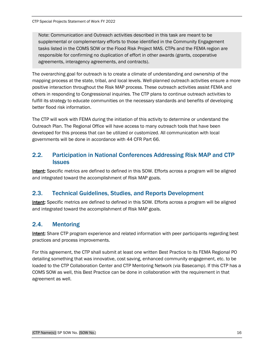Note: Communication and Outreach activities described in this task are meant to be supplemental or complementary efforts to those identified in the Community Engagement tasks listed in the COMS SOW or the Flood Risk Project MAS. CTPs and the FEMA region are responsible for confirming no duplication of effort in other awards (grants, cooperative agreements, interagency agreements, and contracts).

The overarching goal for outreach is to create a climate of understanding and ownership of the mapping process at the state, tribal, and local levels. Well-planned outreach activities ensure a more positive interaction throughout the Risk MAP process. These outreach activities assist FEMA and others in responding to Congressional inquiries. The CTP plans to continue outreach activities to fulfill its strategy to educate communities on the necessary standards and benefits of developing better flood risk information.

The CTP will work with FEMA during the initiation of this activity to determine or understand the Outreach Plan. The Regional Office will have access to many outreach tools that have been developed for this process that can be utilized or customized. All communication with local governments will be done in accordance with 44 CFR Part 66.

## <span id="page-18-0"></span>2.2. Participation in National Conferences Addressing Risk MAP and CTP **Issues**

Intent: Specific metrics are defined to defined in this SOW. Efforts across a program will be aligned and integrated toward the accomplishment of Risk MAP goals.

# <span id="page-18-1"></span>2.3. Technical Guidelines, Studies, and Reports Development

Intent: Specific metrics are defined to defined in this SOW. Efforts across a program will be aligned and integrated toward the accomplishment of Risk MAP goals.

# <span id="page-18-2"></span>2.4. Mentoring

Intent: Share CTP program experience and related information with peer participants regarding best practices and process improvements.

For this agreement, the CTP shall submit at least one written Best Practice to its FEMA Regional PO detailing something that was innovative, cost saving, enhanced community engagement, etc. to be loaded to the CTP Collaboration Center and CTP Mentoring Network (via Basecamp). If this CTP has a COMS SOW as well, this Best Practice can be done in collaboration with the requirement in that agreement as well.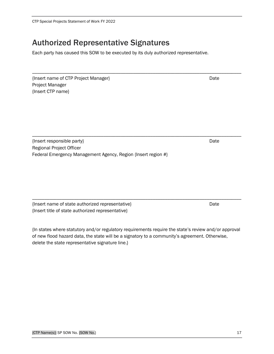# <span id="page-19-0"></span>Authorized Representative Signatures

Each party has caused this SOW to be executed by its duly authorized representative.

\_\_\_\_\_\_\_\_\_\_\_\_\_\_\_\_\_\_\_\_\_\_\_\_\_\_\_\_\_\_\_\_\_\_\_\_\_\_\_\_\_\_\_\_\_\_\_\_\_\_\_\_\_\_\_\_\_\_\_\_\_\_\_\_\_\_\_\_\_\_\_\_\_\_\_\_\_\_\_\_\_\_\_\_\_

{Insert name of CTP Project Manager} discussed and the control of Date Project Manager {Insert CTP name}

{Insert responsible party} Date and the set of the set of the set of the set of the set of the set of the set of the set of the set of the set of the set of the set of the set of the set of the set of the set of the set of Regional Project Officer Federal Emergency Management Agency, Region {Insert region #}

{Insert name of state authorized representative} discussed and the state Date {Insert title of state authorized representative}

{In states where statutory and/or regulatory requirements require the state's review and/or approval of new flood hazard data, the state will be a signatory to a community's agreement. Otherwise, delete the state representative signature line.}

\_\_\_\_\_\_\_\_\_\_\_\_\_\_\_\_\_\_\_\_\_\_\_\_\_\_\_\_\_\_\_\_\_\_\_\_\_\_\_\_\_\_\_\_\_\_\_\_\_\_\_\_\_\_\_\_\_\_\_\_\_\_\_\_\_\_\_\_\_\_\_\_\_\_\_\_\_\_\_\_\_\_\_\_\_

\_\_\_\_\_\_\_\_\_\_\_\_\_\_\_\_\_\_\_\_\_\_\_\_\_\_\_\_\_\_\_\_\_\_\_\_\_\_\_\_\_\_\_\_\_\_\_\_\_\_\_\_\_\_\_\_\_\_\_\_\_\_\_\_\_\_\_\_\_\_\_\_\_\_\_\_\_\_\_\_\_\_\_\_\_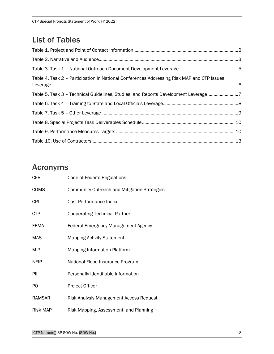# <span id="page-20-0"></span>List of Tables

| Table 4. Task 2 - Participation in National Conferences Addressing Risk MAP and CTP Issues |  |
|--------------------------------------------------------------------------------------------|--|
| Table 5. Task 3 - Technical Guidelines, Studies, and Reports Development Leverage7         |  |
|                                                                                            |  |
|                                                                                            |  |
|                                                                                            |  |
|                                                                                            |  |
|                                                                                            |  |

# <span id="page-20-1"></span>Acronyms

| <b>CFR</b>      | Code of Federal Regulations                         |
|-----------------|-----------------------------------------------------|
| <b>COMS</b>     | <b>Community Outreach and Mitigation Strategies</b> |
| <b>CPI</b>      | Cost Performance Index                              |
| <b>CTP</b>      | <b>Cooperating Technical Partner</b>                |
| <b>FEMA</b>     | Federal Emergency Management Agency                 |
| <b>MAS</b>      | <b>Mapping Activity Statement</b>                   |
| MIP             | <b>Mapping Information Platform</b>                 |
| <b>NFIP</b>     | National Flood Insurance Program                    |
| PII             | Personally Identifiable Information                 |
| P <sub>O</sub>  | Project Officer                                     |
| RAMSAR          | Risk Analysis Management Access Request             |
| <b>Risk MAP</b> | Risk Mapping, Assessment, and Planning              |